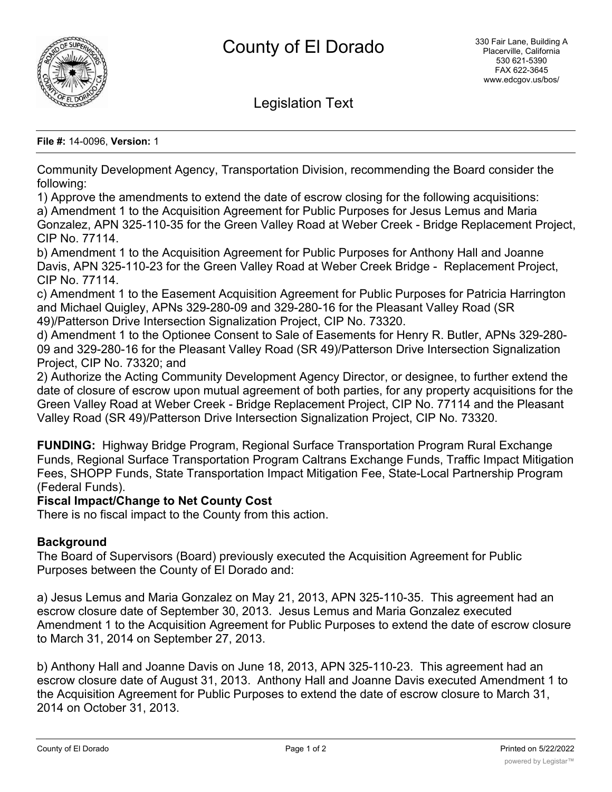

Legislation Text

**File #:** 14-0096, **Version:** 1

Community Development Agency, Transportation Division, recommending the Board consider the following:

1) Approve the amendments to extend the date of escrow closing for the following acquisitions:

a) Amendment 1 to the Acquisition Agreement for Public Purposes for Jesus Lemus and Maria Gonzalez, APN 325-110-35 for the Green Valley Road at Weber Creek - Bridge Replacement Project, CIP No. 77114.

b) Amendment 1 to the Acquisition Agreement for Public Purposes for Anthony Hall and Joanne Davis, APN 325-110-23 for the Green Valley Road at Weber Creek Bridge - Replacement Project, CIP No. 77114.

c) Amendment 1 to the Easement Acquisition Agreement for Public Purposes for Patricia Harrington and Michael Quigley, APNs 329-280-09 and 329-280-16 for the Pleasant Valley Road (SR 49)/Patterson Drive Intersection Signalization Project, CIP No. 73320.

d) Amendment 1 to the Optionee Consent to Sale of Easements for Henry R. Butler, APNs 329-280- 09 and 329-280-16 for the Pleasant Valley Road (SR 49)/Patterson Drive Intersection Signalization Project, CIP No. 73320; and

2) Authorize the Acting Community Development Agency Director, or designee, to further extend the date of closure of escrow upon mutual agreement of both parties, for any property acquisitions for the Green Valley Road at Weber Creek - Bridge Replacement Project, CIP No. 77114 and the Pleasant Valley Road (SR 49)/Patterson Drive Intersection Signalization Project, CIP No. 73320.

**FUNDING:** Highway Bridge Program, Regional Surface Transportation Program Rural Exchange Funds, Regional Surface Transportation Program Caltrans Exchange Funds, Traffic Impact Mitigation Fees, SHOPP Funds, State Transportation Impact Mitigation Fee, State-Local Partnership Program (Federal Funds).

# **Fiscal Impact/Change to Net County Cost**

There is no fiscal impact to the County from this action.

# **Background**

The Board of Supervisors (Board) previously executed the Acquisition Agreement for Public Purposes between the County of El Dorado and:

a) Jesus Lemus and Maria Gonzalez on May 21, 2013, APN 325-110-35. This agreement had an escrow closure date of September 30, 2013. Jesus Lemus and Maria Gonzalez executed Amendment 1 to the Acquisition Agreement for Public Purposes to extend the date of escrow closure to March 31, 2014 on September 27, 2013.

b) Anthony Hall and Joanne Davis on June 18, 2013, APN 325-110-23. This agreement had an escrow closure date of August 31, 2013. Anthony Hall and Joanne Davis executed Amendment 1 to the Acquisition Agreement for Public Purposes to extend the date of escrow closure to March 31, 2014 on October 31, 2013.